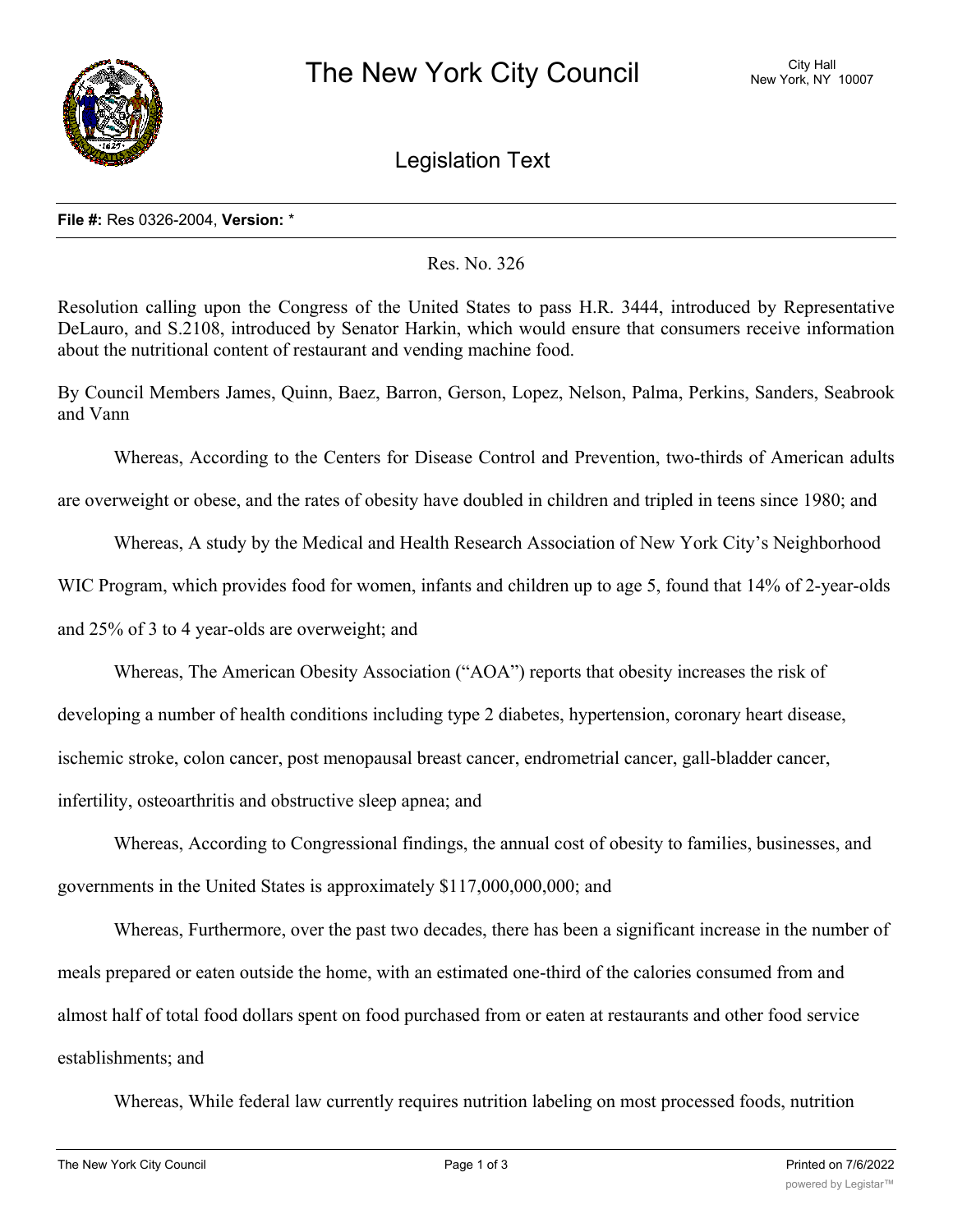

Legislation Text

## **File #:** Res 0326-2004, **Version:** \*

Res. No. 326

Resolution calling upon the Congress of the United States to pass H.R. 3444, introduced by Representative DeLauro, and S.2108, introduced by Senator Harkin, which would ensure that consumers receive information about the nutritional content of restaurant and vending machine food.

By Council Members James, Quinn, Baez, Barron, Gerson, Lopez, Nelson, Palma, Perkins, Sanders, Seabrook and Vann

Whereas, According to the Centers for Disease Control and Prevention, two-thirds of American adults

are overweight or obese, and the rates of obesity have doubled in children and tripled in teens since 1980; and

Whereas, A study by the Medical and Health Research Association of New York City's Neighborhood

WIC Program, which provides food for women, infants and children up to age 5, found that 14% of 2-year-olds

and 25% of 3 to 4 year-olds are overweight; and

Whereas, The American Obesity Association ("AOA") reports that obesity increases the risk of

developing a number of health conditions including type 2 diabetes, hypertension, coronary heart disease,

ischemic stroke, colon cancer, post menopausal breast cancer, endrometrial cancer, gall-bladder cancer,

infertility, osteoarthritis and obstructive sleep apnea; and

Whereas, According to Congressional findings, the annual cost of obesity to families, businesses, and governments in the United States is approximately \$117,000,000,000; and

Whereas, Furthermore, over the past two decades, there has been a significant increase in the number of meals prepared or eaten outside the home, with an estimated one-third of the calories consumed from and almost half of total food dollars spent on food purchased from or eaten at restaurants and other food service establishments; and

Whereas, While federal law currently requires nutrition labeling on most processed foods, nutrition